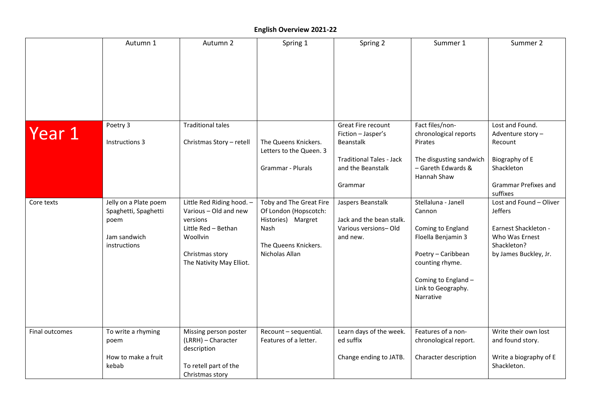## **English Overview 2021-22**

|                | Autumn 1                                                                              | Autumn 2                                                                                                                                         | Spring 1                                                                                                                 | Spring 2                                                                                                                        | Summer 1                                                                                                                                                                    | Summer 2                                                                                                                   |
|----------------|---------------------------------------------------------------------------------------|--------------------------------------------------------------------------------------------------------------------------------------------------|--------------------------------------------------------------------------------------------------------------------------|---------------------------------------------------------------------------------------------------------------------------------|-----------------------------------------------------------------------------------------------------------------------------------------------------------------------------|----------------------------------------------------------------------------------------------------------------------------|
|                |                                                                                       |                                                                                                                                                  |                                                                                                                          |                                                                                                                                 |                                                                                                                                                                             |                                                                                                                            |
| Year 1         | Poetry 3<br>Instructions 3                                                            | <b>Traditional tales</b><br>Christmas Story - retell                                                                                             | The Queens Knickers.<br>Letters to the Queen. 3<br>Grammar - Plurals                                                     | <b>Great Fire recount</b><br>Fiction - Jasper's<br>Beanstalk<br><b>Traditional Tales - Jack</b><br>and the Beanstalk<br>Grammar | Fact files/non-<br>chronological reports<br>Pirates<br>The disgusting sandwich<br>- Gareth Edwards &<br>Hannah Shaw                                                         | Lost and Found.<br>Adventure story -<br>Recount<br>Biography of E<br>Shackleton<br><b>Grammar Prefixes and</b><br>suffixes |
| Core texts     | Jelly on a Plate poem<br>Spaghetti, Spaghetti<br>poem<br>Jam sandwich<br>instructions | Little Red Riding hood. -<br>Various - Old and new<br>versions<br>Little Red - Bethan<br>Woollvin<br>Christmas story<br>The Nativity May Elliot. | Toby and The Great Fire<br>Of London (Hopscotch:<br>Histories) Margret<br>Nash<br>The Queens Knickers.<br>Nicholas Allan | Jaspers Beanstalk<br>Jack and the bean stalk.<br>Various versions-Old<br>and new.                                               | Stellaluna - Janell<br>Cannon<br>Coming to England<br>Floella Benjamin 3<br>Poetry - Caribbean<br>counting rhyme.<br>Coming to England -<br>Link to Geography.<br>Narrative | Lost and Found - Oliver<br>Jeffers<br>Earnest Shackleton -<br>Who Was Ernest<br>Shackleton?<br>by James Buckley, Jr.       |
| Final outcomes | To write a rhyming<br>poem<br>How to make a fruit<br>kebab                            | Missing person poster<br>(LRRH) - Character<br>description<br>To retell part of the<br>Christmas story                                           | Recount - sequential.<br>Features of a letter.                                                                           | Learn days of the week.<br>ed suffix<br>Change ending to JATB.                                                                  | Features of a non-<br>chronological report.<br>Character description                                                                                                        | Write their own lost<br>and found story.<br>Write a biography of E<br>Shackleton.                                          |